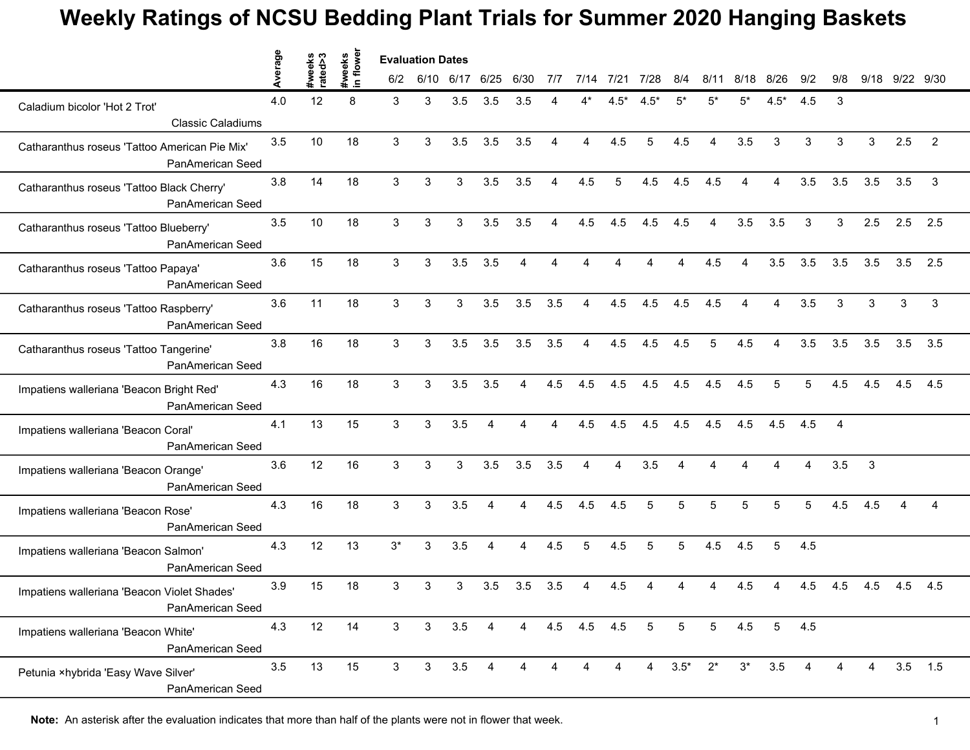## **Weekly Ratings of NCSU Bedding Plant Trials for Summer 2020 Hanging Baskets**

|                                                                   | erage | #weeks<br>rated>3 | in flowe<br>#weeks | <b>Evaluation Dates</b> |              |      |                |                |                |                |                |                 |                 |                |                |                |                |                |     |                |                |
|-------------------------------------------------------------------|-------|-------------------|--------------------|-------------------------|--------------|------|----------------|----------------|----------------|----------------|----------------|-----------------|-----------------|----------------|----------------|----------------|----------------|----------------|-----|----------------|----------------|
|                                                                   |       |                   |                    | 6/2                     | 6/10         | 6/17 | 6/25           | 6/30           | 7/7            | 7/14           | 7/21           | 7/28            | 8/4             | 8/11           | 8/18           | 8/26           | 9/2            | 9/8            |     | 9/18 9/22 9/30 |                |
| Caladium bicolor 'Hot 2 Trot'<br><b>Classic Caladiums</b>         | 4.0   | 12                | 8                  | 3                       | 3            | 3.5  | 3.5            | 3.5            |                |                | $4.5*$         | $4.5*$          | $5*$            | 5*             | 5*             | $4.5*$         | 4.5            | 3              |     |                |                |
| Catharanthus roseus 'Tattoo American Pie Mix'<br>PanAmerican Seed | 3.5   | 10                | 18                 | 3                       | 3            | 3.5  | 3.5            | 3.5            | $\overline{4}$ | $\overline{4}$ | 4.5            | 5               | 4.5             | $\overline{4}$ | 3.5            | 3              | 3              | 3              | 3   | 2.5            | $\overline{2}$ |
| Catharanthus roseus 'Tattoo Black Cherry'<br>PanAmerican Seed     | 3.8   | 14                | 18                 | 3                       | 3            | 3    | 3.5            | 3.5            | 4              | 4.5            | 5              | 4.5             | 4.5             | 4.5            | 4              | 4              | 3.5            | 3.5            | 3.5 | 3.5            | 3              |
| Catharanthus roseus 'Tattoo Blueberry'<br>PanAmerican Seed        | 3.5   | 10                | 18                 | 3                       | 3            | 3    | 3.5            | 3.5            | $\overline{4}$ | 4.5            | 4.5            | 4.5             | 4.5             | 4              | 3.5            | 3.5            | 3              | 3              | 2.5 | 2.5            | 2.5            |
| Catharanthus roseus 'Tattoo Papaya'<br>PanAmerican Seed           | 3.6   | 15                | 18                 | 3                       | 3            | 3.5  | 3.5            | Δ              |                |                |                |                 |                 | 4.5            |                | 3.5            | 3.5            | 3.5            | 3.5 | 3.5            | 2.5            |
| Catharanthus roseus 'Tattoo Raspberry'<br>PanAmerican Seed        | 3.6   | 11                | 18                 | 3                       | 3            | 3    | 3.5            | 3.5            | 3.5            | $\overline{4}$ | 4.5            | 4.5             | 4.5             | 4.5            | $\overline{4}$ | $\overline{4}$ | 3.5            | 3              | 3   | $\sqrt{3}$     | 3              |
| Catharanthus roseus 'Tattoo Tangerine'<br>PanAmerican Seed        | 3.8   | 16                | 18                 | 3                       | 3            | 3.5  | 3.5            | 3.5            | 3.5            | $\overline{4}$ | 4.5            | 4.5             | 4.5             | 5              | 4.5            | $\overline{4}$ | 3.5            | 3.5            | 3.5 | 3.5            | 3.5            |
| Impatiens walleriana 'Beacon Bright Red'<br>PanAmerican Seed      | 4.3   | 16                | 18                 | 3                       | 3            | 3.5  | 3.5            | 4              | 4.5            | 4.5            | 4.5            | 4.5             | 4.5             | 4.5            | 4.5            | 5              | $\overline{5}$ | 4.5            | 4.5 | 4.5            | 4.5            |
| Impatiens walleriana 'Beacon Coral'<br>PanAmerican Seed           | 4.1   | 13                | 15                 | 3                       | 3            | 3.5  | Δ              |                |                | 4.5            | 4.5            | 4.5             | 4.5             | 4.5            | 4.5            | 4.5            | 4.5            | $\overline{4}$ |     |                |                |
| Impatiens walleriana 'Beacon Orange'<br>PanAmerican Seed          | 3.6   | 12                | 16                 | 3                       | 3            | 3    | 3.5            | 3.5            | 3.5            | $\overline{4}$ | $\overline{4}$ | 3.5             | 4               | Δ              | 4              | $\Delta$       | $\overline{4}$ | 3.5            | 3   |                |                |
| Impatiens walleriana 'Beacon Rose'<br>PanAmerican Seed            | 4.3   | 16                | 18                 | 3                       | 3            | 3.5  | $\overline{4}$ | $\overline{4}$ | 4.5            | 4.5            | 4.5            | 5               | $\overline{5}$  | 5              | $\overline{5}$ | 5              | $\overline{5}$ | 4.5            | 4.5 | 4              | 4              |
| Impatiens walleriana 'Beacon Salmon'<br>PanAmerican Seed          | 4.3   | 12                | 13                 | $3^*$                   | 3            | 3.5  | 4              | 4              | 4.5            | 5              | 4.5            | 5               | 5               | 4.5            | 4.5            | 5              | 4.5            |                |     |                |                |
| Impatiens walleriana 'Beacon Violet Shades'<br>PanAmerican Seed   | 3.9   | 15                | 18                 | 3                       | 3            | 3    | 3.5            | 3.5            | 3.5            |                | 4.5            |                 |                 |                | 4.5            |                | 4.5            | 4.5            | 4.5 | 4.5            | 4.5            |
| Impatiens walleriana 'Beacon White'<br><b>PanAmerican Seed</b>    | 4.3   | 12                | 14                 | $\mathbf{3}$            | $\mathbf{3}$ | 3.5  | 4              | $\overline{4}$ |                | 4.5 4.5 4.5    |                | $5\overline{)}$ | $5\overline{)}$ | 5 <sub>5</sub> | 4.5            |                | $5 \qquad 4.5$ |                |     |                |                |
| Petunia ×hybrida 'Easy Wave Silver'<br>PanAmerican Seed           | 3.5   | 13                | 15                 | $\mathbf{3}$            | 3            | 3.5  | $\overline{4}$ | 4              | $\overline{4}$ | 4              | 4              |                 | $4\ 3.5^*$      | $2^*$          | $3^*$          | 3.5            | 4              |                | 4   |                | $3.5$ 1.5      |

**Note:** An asterisk after the evaluation indicates that more than half of the plants were not in flower that week.